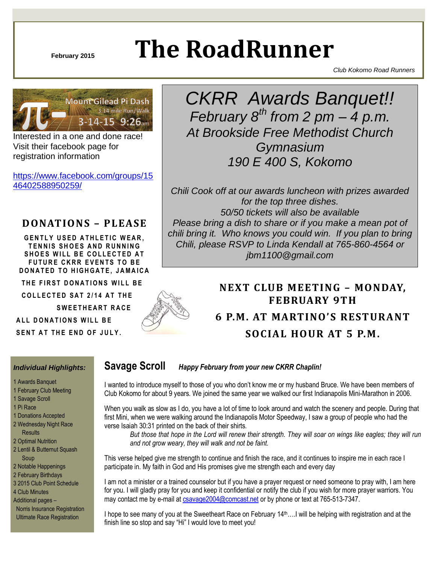# **February 2015 The RoadRunner**

*Club Kokomo Road Runners*



Interested in a one and done race! Visit their facebook page for registration information

[https://www.facebook.com/groups/15](https://www.facebook.com/groups/1546402588950259/) [46402588950259/](https://www.facebook.com/groups/1546402588950259/)

### **DONATIONS – PLEASE**

**GENTLY USED ATHLETIC WEAR. TENNIS SHOES AND RUNNING SHOES WILL BE COLLECTED AT FUTURE CKRR EVENTS TO BE D O N A T E D T O H I G H G A T E , J A M A I C A**

**THE FIRST DONATIONS WILL BE** 

 **C O L L EC T E D S A T 2 / 1 4 A T T H E**

**SWEETHEART RACE** 

**ALL DONATIONS WILL BF** 

**SENT AT THE END OF JULY.** 

## *CKRR Awards Banquet!! February 8th from 2 pm – 4 p.m. At Brookside Free Methodist Church Gymnasium 190 E 400 S, Kokomo*

*Chili Cook off at our awards luncheon with prizes awarded for the top three dishes. 50/50 tickets will also be available Please bring a dish to share or if you make a mean pot of chili bring it. Who knows you could win. If you plan to bring Chili, please RSVP to Linda Kendall at 765-860-4564 or jbm1100@gmail.com*



### **NEXT CLUB MEETING - MONDAY, FEBRUARY 9TH 6 P.M. AT MARTINO'S RESTURANT SOCIAL HOUR AT 5 P.M.**

#### *Individual Highlights:*

- 1 Awards Banquet
- 1 February Club Meeting
- 1 Savage Scroll
- 1 Pi Race
- 1 Donations Accepted
- 2 Wednesday Night Race **Results**
- 2 Optimal Nutrition
- 2 Lentil & Butternut Squash Soup
- 2 Notable Happenings
- 2 February Birthdays
- 3 2015 Club Point Schedule
- 4 Club Minutes
- Additional pages –

 Norris Insurance Registration Ultimate Race Registration

#### **Savage Scroll** *Happy February from your new CKRR Chaplin!*

I wanted to introduce myself to those of you who don't know me or my husband Bruce. We have been members of Club Kokomo for about 9 years. We joined the same year we walked our first Indianapolis Mini-Marathon in 2006.

When you walk as slow as I do, you have a lot of time to look around and watch the scenery and people. During that first Mini, when we were walking around the Indianapolis Motor Speedway, I saw a group of people who had the verse Isaiah 30:31 printed on the back of their shirts.

*But those that hope in the Lord will renew their strength. They will soar on wings like eagles; they will run and not grow weary, they will walk and not be faint.*

This verse helped give me strength to continue and finish the race, and it continues to inspire me in each race I participate in. My faith in God and His promises give me strength each and every day

I am not a minister or a trained counselor but if you have a prayer request or need someone to pray with, I am here for you. I will gladly pray for you and keep it confidential or notify the club if you wish for more prayer warriors. You may contact me by e-mail at [csavage2004@comcast.net](mailto:csavage2004@comcast.net) or by phone or text at 765-513-7347.

I hope to see many of you at the Sweetheart Race on February  $14<sup>th</sup>$ ....I will be helping with registration and at the finish line so stop and say "Hi" I would love to meet you!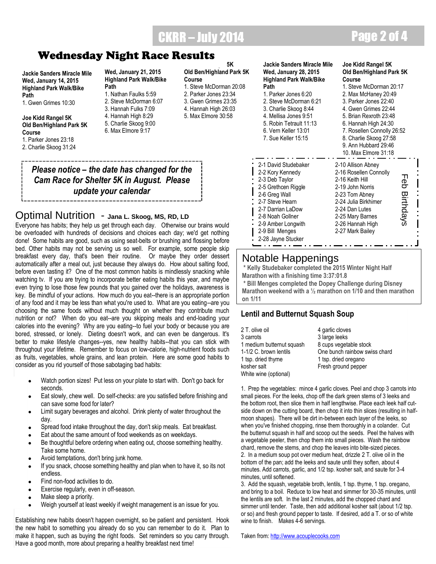### CKRR – July 2014 Page 2 of 4

**Jackie Sanders Miracle Mile Wed, January 14, 2015 Highland Park Walk/Bike Path**

1. Gwen Grimes 10:30

**Joe Kidd Rangel 5K Old Ben/Highland Park 5K Course**

1. Parker Jones 23:18

2. Charlie Skoog 31:24

**Wed, January 21, 2015 Highland Park Walk/Bike Path**

- 1. Nathan Faulks 5:59 2. Steve McDorman 6:07 3. Hannah Fulks 7:09 4. Hannah High 8:29 5. Charlie Skoog 9:00
- 6. Max Elmore 9:17

**Old Ben/Highland Park 5K Course**

**Joe Kidd Rangel 5K**

- 1. Steve McDorman 20:08 2. Parker Jones 23:34 3. Gwen Grimes 23:35 4. Hannah High 26:03
- 5. Max Elmore 30:58

*Please notice – the date has changed for the Cam Race for Shelter 5K in August. Please update your calendar* 

### Optimal Nutrition - **Jana L. Skoog, MS, RD, LD**

**Wednesday Night Race Results**<br>
States Marken Michause Michause Michause Michause Michause Michause Michause Michause Michause Michause Michause Michause Michause Michause Michause Michause Michause Michause Michause Mich Everyone has habits; they help us get through each day. Otherwise our brains would be overloaded with hundreds of decisions and choices each day; we'd get nothing done! Some habits are good, such as using seat-belts or brushing and flossing before bed. Other habits may not be serving us so well. For example, some people skip breakfast every day, that's been their routine. Or maybe they order dessert automatically after a meal out, just because they always do. How about salting food, before even tasting it? One of the most common habits is mindlessly snacking while watching tv. If you are trying to incorporate better eating habits this year, and maybe even trying to lose those few pounds that you gained over the holidays, awareness is key. Be mindful of your actions. How much do you eat--there is an appropriate portion of any food and it may be less than what you're used to. What are you eating--are you choosing the same foods without much thought on whether they contribute much nutrition or not? When do you eat--are you skipping meals and end-loading your calories into the evening? Why are you eating--to fuel your body or because you are bored, stressed, or lonely. Dieting doesn't work, and can even be dangerous. It's better to make lifestyle changes--yes, new healthy habits--that you can stick with throughout your lifetime. Remember to focus on low-calorie, high-nutrient foods such as fruits, vegetables, whole grains, and lean protein. Here are some good habits to consider as you rid yourself of those sabotaging bad habits:

- Watch portion sizes! Put less on your plate to start with. Don't go back for seconds.
- Eat slowly, chew well. Do self-checks: are you satisfied before finishing and can save some food for later?
- Limit sugary beverages and alcohol. Drink plenty of water throughout the day.
- Spread food intake throughout the day, don't skip meals. Eat breakfast.
- Eat about the same amount of food weekends as on weekdays.
- Be thoughtful before ordering when eating out, choose something healthy. Take some home.
- Avoid temptations, don't bring junk home.
- If you snack, choose something healthy and plan when to have it, so its not endless.
- Find non-food activities to do.
- Exercise regularly, even in off-season.
- Make sleep a priority.
- Weigh yourself at least weekly if weight management is an issue for you.

Establishing new habits doesn't happen overnight, so be patient and persistent. Hook the new habit to something you already do so you can remember to do it. Plan to make it happen, such as buying the right foods. Set reminders so you carry through. Have a good month, more about preparing a healthy breakfast next time!

#### **Jackie Sanders Miracle Mile Wed, January 28, 2015 Highland Park Walk/Bike Path**

#### **Joe Kidd Rangel 5K Old Ben/Highland Park 5K Course**

J

| Path                    | 1. Steve McDorman 20:17    |              |
|-------------------------|----------------------------|--------------|
| 1. Parker Jones 6:20    | 2. Max McHaney 20:49       |              |
| 2. Steve McDorman 6:21  | 3. Parker Jones 22:40      |              |
| 3. Charlie Skoog 8:44   | 4. Gwen Grimes 22:44       |              |
| 4. Mellisa Jones 9:51   | 5. Brian Rexroth 23:48     |              |
| 5. Robin Tetrault 11:13 | 6. Hannah High 24:30       |              |
| 6. Vern Keller 13:01    | 7. Rosellen Connolly 26:52 |              |
| 7. Sue Keller 15:15     | 8. Charlie Skoog 27:58     |              |
|                         | 9. Ann Hubbard 29:46       |              |
|                         | 10. Max Elmore 31:18       |              |
| 2-1 David Studebaker    | 2-10 Allison Abney         |              |
| 2-2 Kory Kennedy        | 2-16 Rosellen Connolly     |              |
| 2-3 Deb Taylor          | 2-16 Keith Hill            | ᆩ            |
| 2-5 Grethcen Riggle     | 2-19 John Norris           | eb Birthdays |
| 2-6 Greg Wall           | 2-23 Tom Abney             |              |
| 2-7 Steve Hearn         | 2-24 Julia Birkhimer       |              |
| 2-7 Darrian LaDow       | 2-24 Dan Lutes             |              |
| 2-8 Noah Gollner        | 2-25 Mary Barnes           |              |
|                         | 2-26 Hannah High           |              |
| 2-9 Amber Longwith      |                            |              |
| 2-9 Bill Menges         | 2-27 Mark Bailey           |              |
| 2-28 Jayne Stucker      |                            |              |
|                         |                            |              |

#### Notable Happenings

**\* Kelly Studebaker completed the 2015 Winter Night Half Marathon with a finishing time 3:37:01.8**

**\* Bill Menges completed the Dopey Challenge during Disney Marathon weekend with a ½ marathon on 1/10 and then marathon on 1/11**

#### **Lentil and Butternut Squash Soup**

| 2 T. olive oil            | 4 garlic cloves               |
|---------------------------|-------------------------------|
| 3 carrots                 | 3 large leeks                 |
| 1 medium butternut squash | 8 cups vegetable stock        |
| 1-1/2 C. brown lentils    | One bunch rainbow swiss chard |
| 1 tsp. dried thyme        | 1 tsp. dried oregano          |
| kosher salt               | Fresh ground pepper           |
| White wine (optional)     |                               |

1. Prep the vegetables: mince 4 garlic cloves. Peel and chop 3 carrots into small pieces. For the leeks, chop off the dark green stems of 3 leeks and the bottom root, then slice them in half lengthwise. Place each leek half cutside down on the cutting board, then chop it into thin slices (resulting in halfmoon shapes). There will be dirt in-between each layer of the leeks, so when you've finished chopping, rinse them thoroughly in a colander. Cut the butternut squash in half and scoop out the seeds. Peel the halves with a vegetable peeler, then chop them into small pieces. Wash the rainbow chard, remove the stems, and chop the leaves into bite-sized pieces. 2. In a medium soup pot over medium heat, drizzle 2 T. olive oil in the bottom of the pan; add the leeks and saute until they soften, about 4 minutes. Add carrots, garlic, and 1/2 tsp. kosher salt, and saute for 3-4 minutes, until softened.

3. Add the squash, vegetable broth, lentils, 1 tsp. thyme, 1 tsp. oregano, and bring to a boil. Reduce to low heat and simmer for 30-35 minutes, until the lentils are soft. In the last 2 minutes, add the chopped chard and simmer until tender. Taste, then add additional kosher salt (about 1/2 tsp. or so) and fresh ground pepper to taste. If desired, add a T. or so of white wine to finish. Makes 4-6 servings.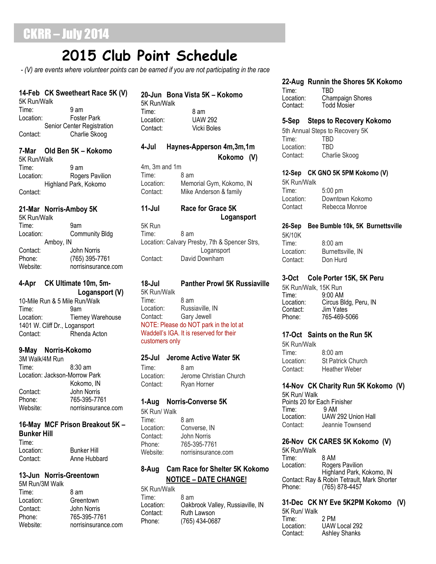## **2015 Club Point Schedule**

*- (V) are events where volunteer points can be earned if you are not participating in the race*

#### **14-Feb CK Sweetheart Race 5K (V)**

5K Run/Walk Time: 9 am Location: Foster Park Senior Center Registration Contact: Charlie Skoog

#### **7-Mar Old Ben 5K – Kokomo**

5K Run/Walk Time: 9 am Location: Rogers Pavilion Highland Park, Kokomo Contact:

#### **21-Mar Norris-Amboy 5K**

5K Run/Walk Time: 9am Location: Community Bldg Amboy, IN Contact: John Norris Phone: (765) 395-7761 Website: norrisinsurance.com

#### **4-Apr CK Ultimate 10m, 5m- Logansport (V)**

10-Mile Run & 5 Mile Run/Walk Time: 9am Location: Tierney Warehouse 1401 W. Cliff Dr., Logansport Contact: Rhenda Acton

#### **9-May Norris-Kokomo**

3M Walk/4M Run Time: 8:30 am Location: Jackson-Morrow Park Kokomo, IN Contact: John Norris<br>Phone: 765-395-77 Phone: 765-395-7761 Website: norrisinsurance.com

#### **16-May MCF Prison Breakout 5K – Bunker Hill** Time:

| <b>Bunker Hill</b> |
|--------------------|
| Anne Hubbard       |
|                    |

#### **13-Jun Norris-Greentown**

| 5M Run/3M Walk |                     |
|----------------|---------------------|
| Time:          | 8 am                |
| Location:      | Greentown           |
| Contact:       | John Norris         |
| Phone:         | 765-395-7761        |
| Website:       | norrisinsurance.com |

#### **20-Jun Bona Vista 5K – Kokomo**

5K Run/Walk Time: 8 am Location: UAW 292 Contact: Vicki Boles

#### **4-Jul Haynes-Apperson 4m,3m,1m Kokomo (V)**

4m, 3m and 1m Time: 8 am Location: Memorial Gym, Kokomo, IN Contact: Mike Anderson & family

#### **11-Jul Race for Grace 5K Logansport**

5K Run Time: 8 am Location: Calvary Presby, 7th & Spencer Strs, Logansport Contact: David Downham

### **18-Jul Panther Prowl 5K Russiaville** 5K Run/Walk

Time: 8 am Location: Russiaville, IN Contact: Gary Jewell NOTE: Please do NOT park in the lot at Waddell's IGA. It is reserved for their customers only

#### **25-Jul Jerome Active Water 5K**

Time: 8 am Location: Jerome Christian Church Contact: Ryan Horner

#### **1-Aug Norris-Converse 5K**

5K Run/ Walk Time: 8 am Location: Converse, IN Contact: John Norris Phone: 765-395-7761 Website: norrisinsurance.com

#### **8-Aug Cam Race for Shelter 5K Kokomo NOTICE – DATE CHANGE!**

5K Run/Walk Time: 8 am<br>Location: 0akb Oakbrook Valley, Russiaville, IN Contact: Ruth Lawson Phone: (765) 434-0687

#### **22-Aug Runnin the Shores 5K Kokomo**

Time: TBD<br>Location: Char Location: Champaign Shores<br>Contact: Todd Mosier Todd Mosier

#### **5-Sep Steps to Recovery Kokomo**

5th Annual Steps to Recovery 5K Time: TBD Location: TBD Contact: Charlie Skoog

#### **12-Sep CK GNO 5K 5PM Kokomo (V)**

5K Run/Walk Time: 5:00 pm Location: Downtown Kokomo Contact Rebecca Monroe

#### **26-Sep Bee Bumble 10k, 5K Burnettsville** 5K/10K

Time: 8:00 am Location: Burnettsville, IN Contact: Don Hurd

#### **3-Oct Cole Porter 15K, 5K Peru**

5K Run/Walk, 15K Run Time: 9:00 AM Location: Circus Bldg, Peru, IN<br>Contact: Jim Yates Contact: Jim Yates<br>Phone: 765-469-5 Phone: 765-469-5066

#### **17-Oct Saints on the Run 5K**

5K Run/Walk Time: 8:00 am Location: St Patrick Church Contact: Heather Weber

#### **14-Nov CK Charity Run 5K Kokomo (V)**

5K Run/ Walk Points 20 for Each Finisher<br>Time: 9 AM  $Time:$ Location: UAW 292 Union Hall Contact: Jeannie Townsend

#### **26-Nov CK CARES 5K Kokomo (V)**

5K Run/Walk Time: 8 AM<br>Location: Roge Rogers Pavilion Highland Park, Kokomo, IN Contact: Ray & Robin Tetrault, Mark Shorter<br>Phone: (765) 878-4457 (765) 878-4457

**31-Dec CK NY Eve 5K2PM Kokomo (V)** 5K Run/ Walk Time: 2 PM Location: UAW Local 292<br>Contact: Ashlev Shanks

Ashley Shanks